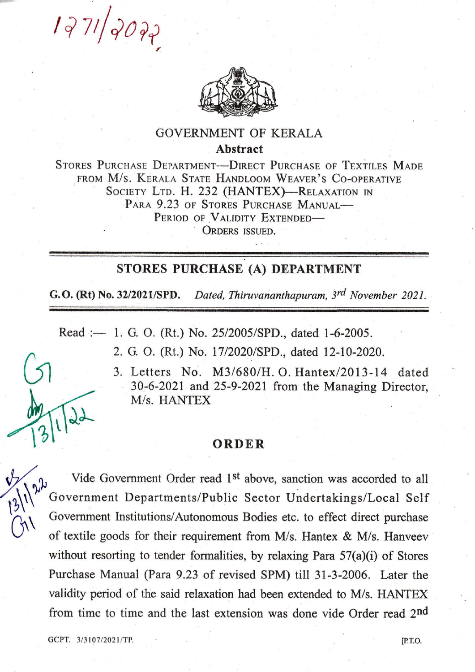$1271/2022$ 



## **GOVERNMENT OF KERALA Abstract**

STORES PURCHASE DEPARTMENT-DIRECT PURCHASE OF TEXTILES MADE FROM M/S. KERALA STATE HANDLOOM WEAVER'S CO-OPERATIVE SOCIETY LTD. H. 232 (HANTEX)-RELAXATION IN PARA 9.23 OF STORES PURCHASE MANUAL-PERIOD OF VALIDITY EXTENDED-ORDERS ISSUED.

## STORES PURCHASE (A) DEPARTMENT

G.O. (Rt) No. 32/2021/SPD. Dated, Thiruvananthapuram, 3rd November 2021.

Read :- 1. G. O. (Rt.) No. 25/2005/SPD., dated 1-6-2005.

2. G. O. (Rt.) No. 17/2020/SPD., dated 12-10-2020.

3. Letters No. M3/680/H. O. Hantex/2013-14 dated 30-6-2021 and 25-9-2021 from the Managing Director, M/s. HANTEX

## ORDER

Vide Government Order read 1<sup>st</sup> above, sanction was accorded to all Government Departments/Public Sector Undertakings/Local Self Government Institutions/Autonomous Bodies etc. to effect direct purchase of textile goods for their requirement from M/s. Hantex & M/s. Hanveev without resorting to tender formalities, by relaxing Para  $57(a)(i)$  of Stores Purchase Manual (Para 9.23 of revised SPM) till 31-3-2006. Later the validity period of the said relaxation had been extended to M/s. HANTEX from time to time and the last extension was done vide Order read 2nd

GCPT. 3/3107/2021/TP.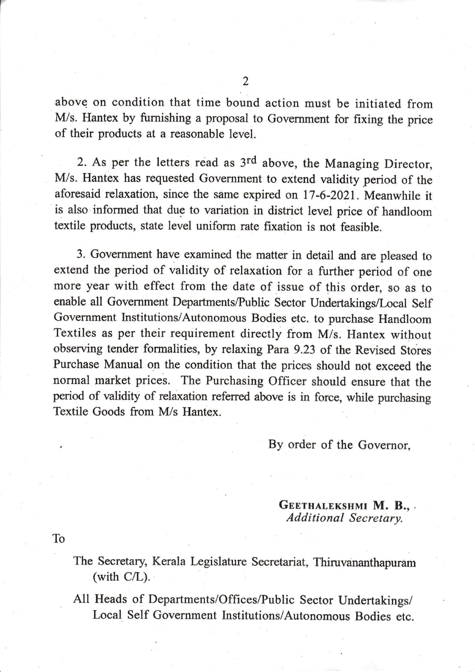above on condition that time bound action must be initiated from M/s. Hantex by furnishing a proposal to Government for fixing the price of their products at a reasonable level.

2. As per the letters read as 3rd above, the Managing Director, M/s. Hantex has requested Governrnent to extend validity period of the aforesaid relaxation, since the same expired on lT-6-2021. Meanwhile it is also informed that due to variation in district level price of handloom textile products, state level uniform rate fixation is not feasible.

3. Government have examined the matter in detail and are pleased to extend the period of validity of relaxation for a further period of one more year with effect from the date of issue of this order, so as to enable all Government Departments/Public Sector Undertakings/Local Self Government Institutions/Autonomous Bodies etc. to purchase Handloom Textiles as per their requirement directly from M/s. Hantex without observing tender formalities, by relaxing Para 9.23 of the Revised Stores Purchase Manual on the condition that the prices should not exceed the normal market prices. The Purchasing officer should ensure that the period of validity of relaxation referred above is in force, while purchasing Textile Goods from M/s Hantex.

By order of the Governor,

GEETHALEKSHMI M. B.,. Additional Secretary.

To

- The Secretary, Kerala Legislature Secretariat, Thiruvananthapuram (with C/L).
- All Heads of Departments/Offices/Public Sector Undertakings/ Local Self Government Institutions/Autonomous Bodies etc.